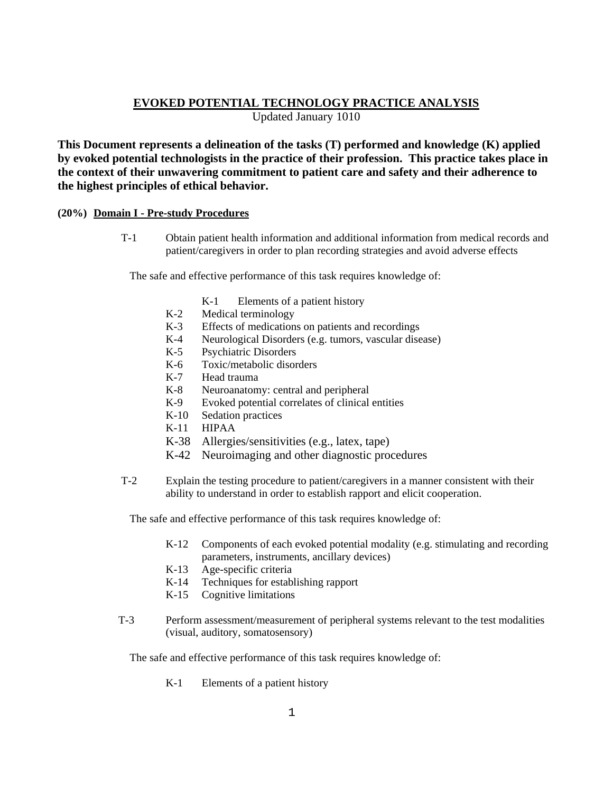# **EVOKED POTENTIAL TECHNOLOGY PRACTICE ANALYSIS**

Updated January 1010

**This Document represents a delineation of the tasks (T) performed and knowledge (K) applied by evoked potential technologists in the practice of their profession. This practice takes place in the context of their unwavering commitment to patient care and safety and their adherence to the highest principles of ethical behavior.** 

## **(20%) Domain I - Pre-study Procedures**

 T-1 Obtain patient health information and additional information from medical records and patient/caregivers in order to plan recording strategies and avoid adverse effects

The safe and effective performance of this task requires knowledge of:

- K-1 Elements of a patient history
- K-2 Medical terminology
- K-3 Effects of medications on patients and recordings
- K-4 Neurological Disorders (e.g. tumors, vascular disease)
- K-5 Psychiatric Disorders
- K-6 Toxic/metabolic disorders
- K-7 Head trauma
- K-8 Neuroanatomy: central and peripheral
- K-9 Evoked potential correlates of clinical entities
- K-10 Sedation practices
- K-11 HIPAA
- K-38 Allergies/sensitivities (e.g., latex, tape)
- K-42 Neuroimaging and other diagnostic procedures
- T-2 Explain the testing procedure to patient/caregivers in a manner consistent with their ability to understand in order to establish rapport and elicit cooperation.

The safe and effective performance of this task requires knowledge of:

- K-12 Components of each evoked potential modality (e.g. stimulating and recording parameters, instruments, ancillary devices)
- K-13 Age-specific criteria
- K-14 Techniques for establishing rapport
- K-15 Cognitive limitations
- T-3 Perform assessment/measurement of peripheral systems relevant to the test modalities (visual, auditory, somatosensory)

The safe and effective performance of this task requires knowledge of:

K-1 Elements of a patient history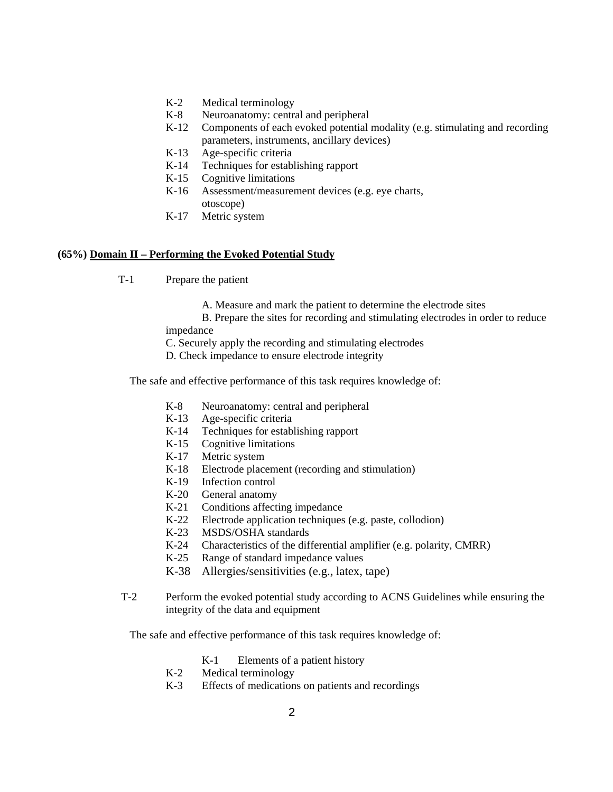- K-2 Medical terminology
- K-8 Neuroanatomy: central and peripheral
- K-12 Components of each evoked potential modality (e.g. stimulating and recording parameters, instruments, ancillary devices)
- K-13 Age-specific criteria
- K-14 Techniques for establishing rapport
- K-15 Cognitive limitations
- K-16 Assessment/measurement devices (e.g. eye charts,
- otoscope) K-17 Metric system

#### **(65%) Domain II – Performing the Evoked Potential Study**

- T-1 Prepare the patient
	- A. Measure and mark the patient to determine the electrode sites

B. Prepare the sites for recording and stimulating electrodes in order to reduce

impedance

C. Securely apply the recording and stimulating electrodes

D. Check impedance to ensure electrode integrity

The safe and effective performance of this task requires knowledge of:

- K-8 Neuroanatomy: central and peripheral
- K-13 Age-specific criteria
- K-14 Techniques for establishing rapport
- K-15 Cognitive limitations
- K-17 Metric system
- K-18 Electrode placement (recording and stimulation)
- K-19 Infection control
- K-20 General anatomy
- K-21 Conditions affecting impedance
- K-22 Electrode application techniques (e.g. paste, collodion)
- K-23 MSDS/OSHA standards
- K-24 Characteristics of the differential amplifier (e.g. polarity, CMRR)
- K-25 Range of standard impedance values
- K-38 Allergies/sensitivities (e.g., latex, tape)
- T-2 Perform the evoked potential study according to ACNS Guidelines while ensuring the integrity of the data and equipment

- K-1 Elements of a patient history
- K-2 Medical terminology
- K-3 Effects of medications on patients and recordings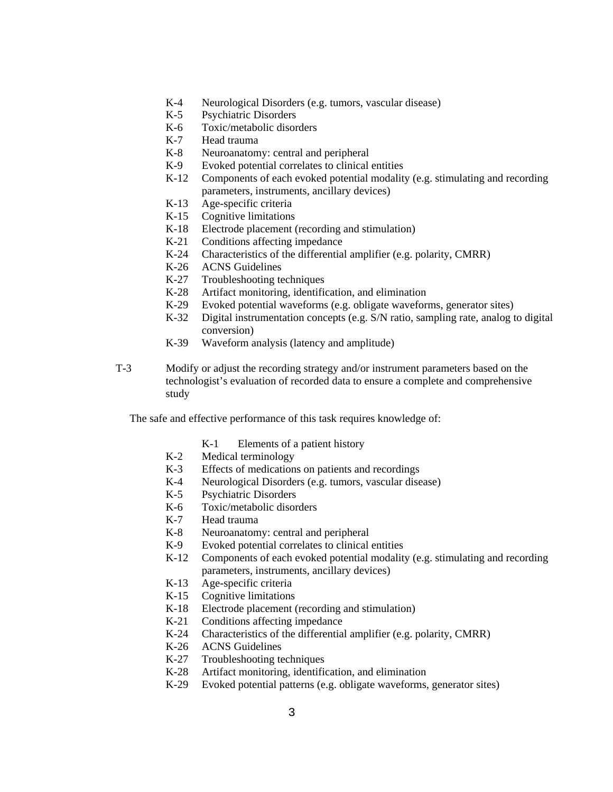- K-4 Neurological Disorders (e.g. tumors, vascular disease)
- K-5 Psychiatric Disorders
- K-6 Toxic/metabolic disorders
- K-7 Head trauma
- K-8 Neuroanatomy: central and peripheral
- K-9 Evoked potential correlates to clinical entities
- K-12 Components of each evoked potential modality (e.g. stimulating and recording parameters, instruments, ancillary devices)
- K-13 Age-specific criteria
- K-15 Cognitive limitations
- K-18 Electrode placement (recording and stimulation)
- K-21 Conditions affecting impedance
- K-24 Characteristics of the differential amplifier (e.g. polarity, CMRR)
- K-26 ACNS Guidelines
- K-27 Troubleshooting techniques
- K-28 Artifact monitoring, identification, and elimination
- K-29 Evoked potential waveforms (e.g. obligate waveforms, generator sites)
- K-32 Digital instrumentation concepts (e.g. S/N ratio, sampling rate, analog to digital conversion)
- K-39 Waveform analysis (latency and amplitude)
- T-3 Modify or adjust the recording strategy and/or instrument parameters based on the technologist's evaluation of recorded data to ensure a complete and comprehensive study

- K-1 Elements of a patient history
- K-2 Medical terminology
- K-3 Effects of medications on patients and recordings
- K-4 Neurological Disorders (e.g. tumors, vascular disease)
- K-5 Psychiatric Disorders
- K-6 Toxic/metabolic disorders
- K-7 Head trauma
- K-8 Neuroanatomy: central and peripheral
- K-9 Evoked potential correlates to clinical entities
- K-12 Components of each evoked potential modality (e.g. stimulating and recording parameters, instruments, ancillary devices)
- K-13 Age-specific criteria
- K-15 Cognitive limitations
- K-18 Electrode placement (recording and stimulation)
- K-21 Conditions affecting impedance
- K-24 Characteristics of the differential amplifier (e.g. polarity, CMRR)
- K-26 ACNS Guidelines
- K-27 Troubleshooting techniques
- K-28 Artifact monitoring, identification, and elimination
- K-29 Evoked potential patterns (e.g. obligate waveforms, generator sites)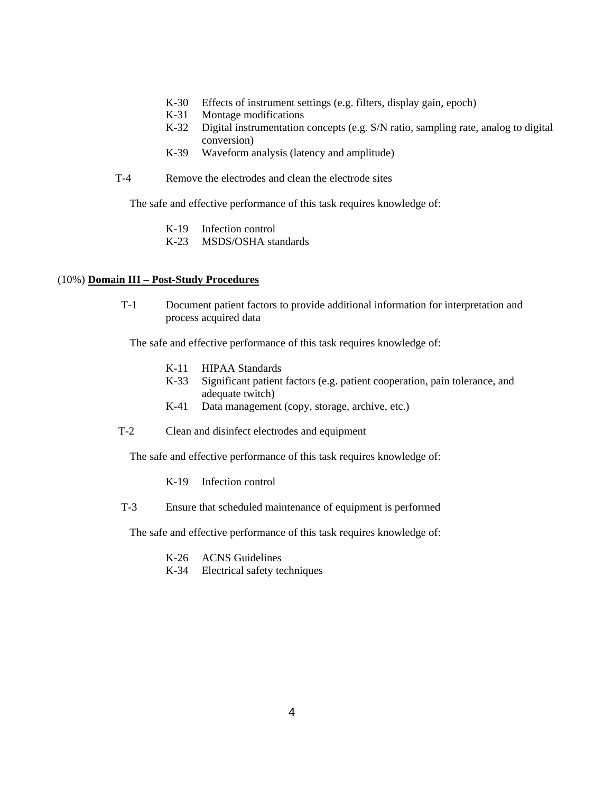- K-30 Effects of instrument settings (e.g. filters, display gain, epoch)
- K-31 Montage modifications
- K-32 Digital instrumentation concepts (e.g. S/N ratio, sampling rate, analog to digital conversion)
- K-39 Waveform analysis (latency and amplitude)
- T-4 Remove the electrodes and clean the electrode sites

The safe and effective performance of this task requires knowledge of:

- K-19 Infection control
- K-23 MSDS/OSHA standards

## (10%) **Domain III – Post-Study Procedures**

 T-1 Document patient factors to provide additional information for interpretation and process acquired data

The safe and effective performance of this task requires knowledge of:

- K-11 HIPAA Standards
- K-33 Significant patient factors (e.g. patient cooperation, pain tolerance, and adequate twitch)
- K-41 Data management (copy, storage, archive, etc.)
- T-2 Clean and disinfect electrodes and equipment

The safe and effective performance of this task requires knowledge of:

- K-19 Infection control
- T-3 Ensure that scheduled maintenance of equipment is performed

- K-26 ACNS Guidelines
- K-34 Electrical safety techniques